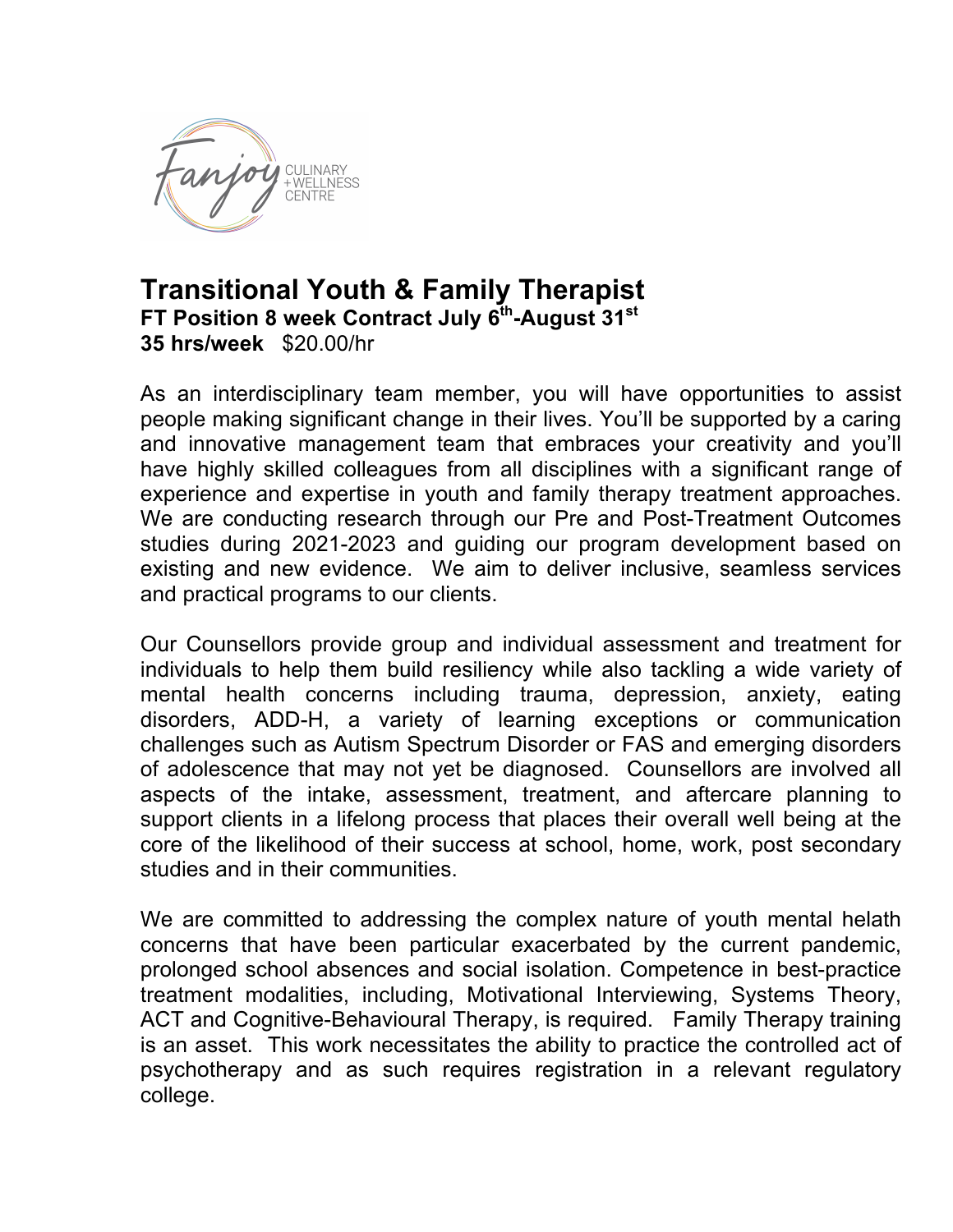

## **Transitional Youth & Family Therapist FT Position 8 week Contract July 6th-August 31st 35 hrs/week** \$20.00/hr

As an interdisciplinary team member, you will have opportunities to assist people making significant change in their lives. You'll be supported by a caring and innovative management team that embraces your creativity and you'll have highly skilled colleagues from all disciplines with a significant range of experience and expertise in youth and family therapy treatment approaches. We are conducting research through our Pre and Post-Treatment Outcomes studies during 2021-2023 and guiding our program development based on existing and new evidence. We aim to deliver inclusive, seamless services and practical programs to our clients.

Our Counsellors provide group and individual assessment and treatment for individuals to help them build resiliency while also tackling a wide variety of mental health concerns including trauma, depression, anxiety, eating disorders, ADD-H, a variety of learning exceptions or communication challenges such as Autism Spectrum Disorder or FAS and emerging disorders of adolescence that may not yet be diagnosed. Counsellors are involved all aspects of the intake, assessment, treatment, and aftercare planning to support clients in a lifelong process that places their overall well being at the core of the likelihood of their success at school, home, work, post secondary studies and in their communities.

We are committed to addressing the complex nature of youth mental helath concerns that have been particular exacerbated by the current pandemic, prolonged school absences and social isolation. Competence in best-practice treatment modalities, including, Motivational Interviewing, Systems Theory, ACT and Cognitive-Behavioural Therapy, is required. Family Therapy training is an asset. This work necessitates the ability to practice the controlled act of psychotherapy and as such requires registration in a relevant regulatory college.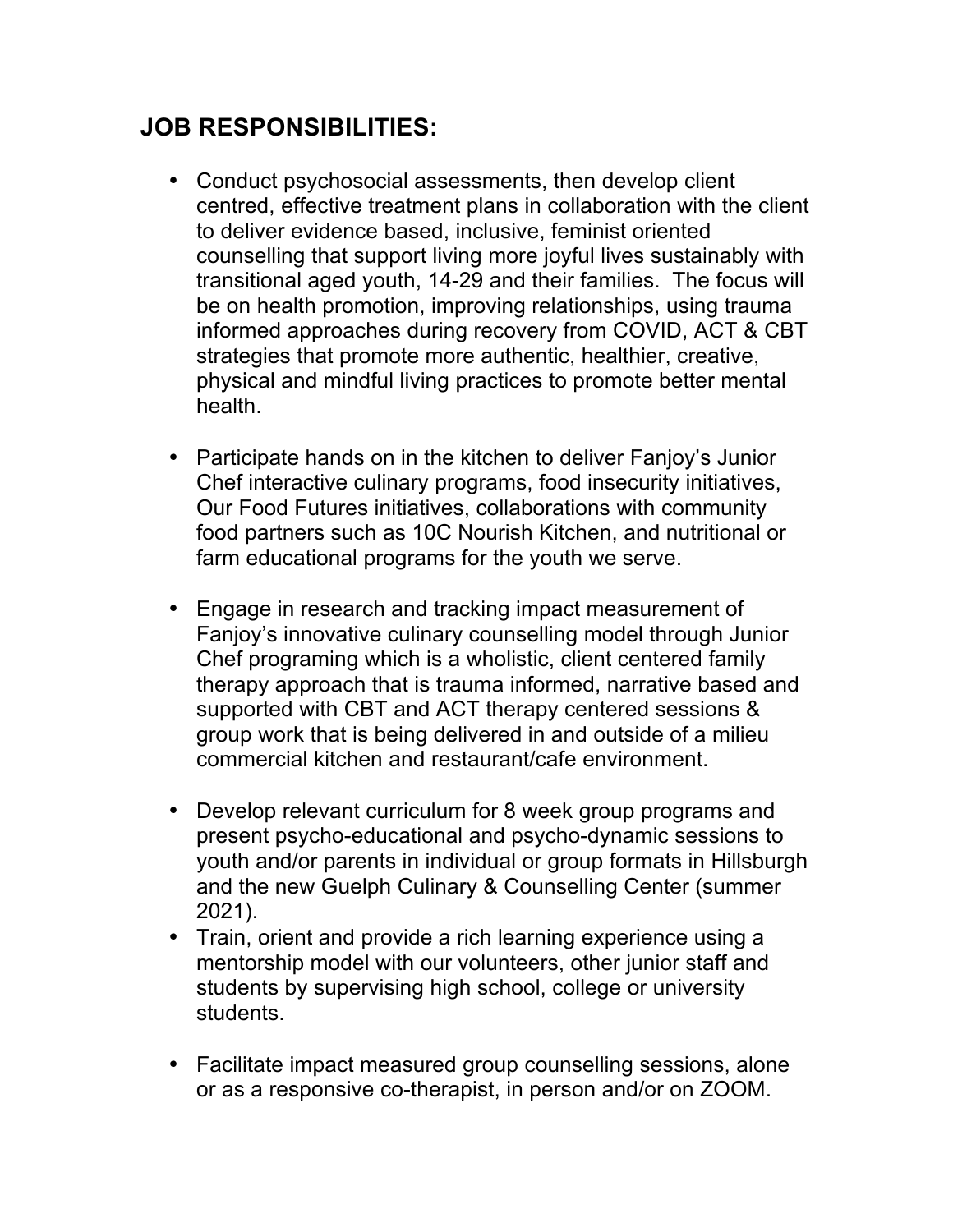## **JOB RESPONSIBILITIES:**

- Conduct psychosocial assessments, then develop client centred, effective treatment plans in collaboration with the client to deliver evidence based, inclusive, feminist oriented counselling that support living more joyful lives sustainably with transitional aged youth, 14-29 and their families. The focus will be on health promotion, improving relationships, using trauma informed approaches during recovery from COVID, ACT & CBT strategies that promote more authentic, healthier, creative, physical and mindful living practices to promote better mental health.
- Participate hands on in the kitchen to deliver Fanjoy's Junior Chef interactive culinary programs, food insecurity initiatives, Our Food Futures initiatives, collaborations with community food partners such as 10C Nourish Kitchen, and nutritional or farm educational programs for the youth we serve.
- Engage in research and tracking impact measurement of Fanjoy's innovative culinary counselling model through Junior Chef programing which is a wholistic, client centered family therapy approach that is trauma informed, narrative based and supported with CBT and ACT therapy centered sessions & group work that is being delivered in and outside of a milieu commercial kitchen and restaurant/cafe environment.
- Develop relevant curriculum for 8 week group programs and present psycho-educational and psycho-dynamic sessions to youth and/or parents in individual or group formats in Hillsburgh and the new Guelph Culinary & Counselling Center (summer 2021).
- Train, orient and provide a rich learning experience using a mentorship model with our volunteers, other junior staff and students by supervising high school, college or university students.
- Facilitate impact measured group counselling sessions, alone or as a responsive co-therapist, in person and/or on ZOOM.